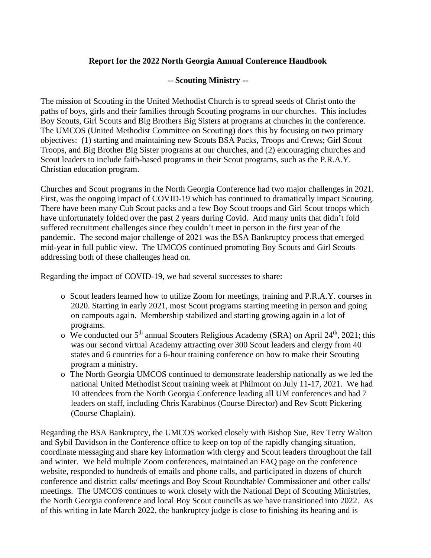## **Report for the 2022 North Georgia Annual Conference Handbook**

## -- **Scouting Ministry --**

The mission of Scouting in the United Methodist Church is to spread seeds of Christ onto the paths of boys, girls and their families through Scouting programs in our churches. This includes Boy Scouts, Girl Scouts and Big Brothers Big Sisters at programs at churches in the conference. The UMCOS (United Methodist Committee on Scouting) does this by focusing on two primary objectives: (1) starting and maintaining new Scouts BSA Packs, Troops and Crews; Girl Scout Troops, and Big Brother Big Sister programs at our churches, and (2) encouraging churches and Scout leaders to include faith-based programs in their Scout programs, such as the P.R.A.Y. Christian education program.

Churches and Scout programs in the North Georgia Conference had two major challenges in 2021. First, was the ongoing impact of COVID-19 which has continued to dramatically impact Scouting. There have been many Cub Scout packs and a few Boy Scout troops and Girl Scout troops which have unfortunately folded over the past 2 years during Covid. And many units that didn't fold suffered recruitment challenges since they couldn't meet in person in the first year of the pandemic. The second major challenge of 2021 was the BSA Bankruptcy process that emerged mid-year in full public view. The UMCOS continued promoting Boy Scouts and Girl Scouts addressing both of these challenges head on.

Regarding the impact of COVID-19, we had several successes to share:

- o Scout leaders learned how to utilize Zoom for meetings, training and P.R.A.Y. courses in 2020. Starting in early 2021, most Scout programs starting meeting in person and going on campouts again. Membership stabilized and starting growing again in a lot of programs.
- o We conducted our  $5<sup>th</sup>$  annual Scouters Religious Academy (SRA) on April 24<sup>th</sup>, 2021; this was our second virtual Academy attracting over 300 Scout leaders and clergy from 40 states and 6 countries for a 6-hour training conference on how to make their Scouting program a ministry.
- o The North Georgia UMCOS continued to demonstrate leadership nationally as we led the national United Methodist Scout training week at Philmont on July 11-17, 2021. We had 10 attendees from the North Georgia Conference leading all UM conferences and had 7 leaders on staff, including Chris Karabinos (Course Director) and Rev Scott Pickering (Course Chaplain).

Regarding the BSA Bankruptcy, the UMCOS worked closely with Bishop Sue, Rev Terry Walton and Sybil Davidson in the Conference office to keep on top of the rapidly changing situation, coordinate messaging and share key information with clergy and Scout leaders throughout the fall and winter. We held multiple Zoom conferences, maintained an FAQ page on the conference website, responded to hundreds of emails and phone calls, and participated in dozens of church conference and district calls/ meetings and Boy Scout Roundtable/ Commissioner and other calls/ meetings. The UMCOS continues to work closely with the National Dept of Scouting Ministries, the North Georgia conference and local Boy Scout councils as we have transitioned into 2022. As of this writing in late March 2022, the bankruptcy judge is close to finishing its hearing and is